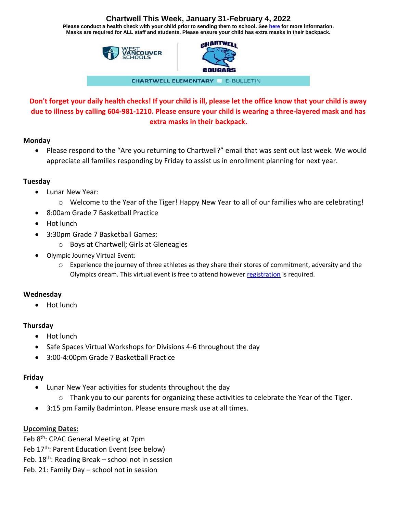## **Chartwell This Week, January 31-February 4, 2022**

**Please conduct a health check with your child prior to sending them to school. See [here](https://www.k12dailycheck.gov.bc.ca/healthcheck?execution=e2s1) for more information. Masks are required for ALL staff and students. Please ensure your child has extra masks in their backpack.**



# **Don't forget your daily health checks! If your child is ill, please let the office know that your child is away due to illness by calling 604-981-1210. Please ensure your child is wearing a three-layered mask and has extra masks in their backpack.**

#### **Monday**

• Please respond to the "Are you returning to Chartwell?" email that was sent out last week. We would appreciate all families responding by Friday to assist us in enrollment planning for next year.

#### **Tuesday**

- Lunar New Year:
	- o Welcome to the Year of the Tiger! Happy New Year to all of our families who are celebrating!
- 8:00am Grade 7 Basketball Practice
- Hot lunch
- 3:30pm Grade 7 Basketball Games:
	- o Boys at Chartwell; Girls at Gleneagles
- Olympic Journey Virtual Event:
	- $\circ$  Experience the journey of three athletes as they share their stores of commitment, adversity and the Olympics dream. This virtual event is free to attend however [registration](https://can01.safelinks.protection.outlook.com/?url=https%3A%2F%2Fus02web.zoom.us%2Fwebinar%2Fregister%2FWN_bNvz62YCRwOjoQ-ZPF44Eg&data=04%7C01%7CCKennedy%40wvschools.ca%7Cb4a71d62214845d2c42c08d9dc397274%7Cd8013362a39e458b9457674cf091a797%7C0%7C0%7C637782961928329112%7CUnknown%7CTWFpbGZsb3d8eyJWIjoiMC4wLjAwMDAiLCJQIjoiV2luMzIiLCJBTiI6Ik1haWwiLCJXVCI6Mn0%3D%7C1000&sdata=ANp64mMoyk0HFVzqaSNL3j85SysvPrMmzuzQ%2BH0hfzQ%3D&reserved=0) is required.

### **Wednesday**

• Hot lunch

### **Thursday**

- Hot lunch
- Safe Spaces Virtual Workshops for Divisions 4-6 throughout the day
- 3:00-4:00pm Grade 7 Basketball Practice

### **Friday**

- Lunar New Year activities for students throughout the day
	- $\circ$  Thank you to our parents for organizing these activities to celebrate the Year of the Tiger.
- 3:15 pm Family Badminton. Please ensure mask use at all times.

### **Upcoming Dates:**

Feb 8<sup>th</sup>: CPAC General Meeting at 7pm Feb 17<sup>th</sup>: Parent Education Event (see below) Feb.  $18<sup>th</sup>$ : Reading Break – school not in session Feb. 21: Family Day – school not in session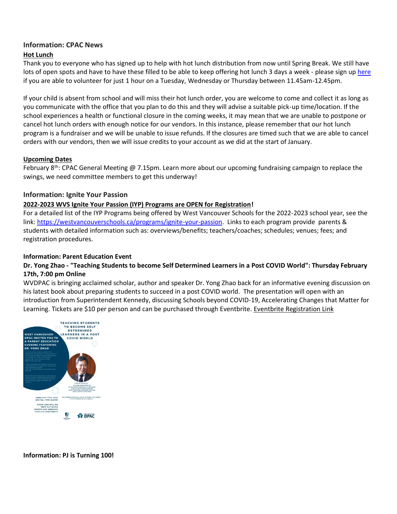### **Information: CPAC News**

#### **Hot Lunch**

Thank you to everyone who has signed up to help with hot lunch distribution from now until Spring Break. We still have lots of open spots and have to have these filled to be able to keep offering hot lunch 3 days a week - please sign u[p here](https://signup.com/client/invitation2/secure/459736486021/false#/invitation) if you are able to volunteer for just 1 hour on a Tuesday, Wednesday or Thursday between 11.45am-12.45pm.

If your child is absent from school and will miss their hot lunch order, you are welcome to come and collect it as long as you communicate with the office that you plan to do this and they will advise a suitable pick-up time/location. If the school experiences a health or functional closure in the coming weeks, it may mean that we are unable to postpone or cancel hot lunch orders with enough notice for our vendors. In this instance, please remember that our hot lunch program is a fundraiser and we will be unable to issue refunds. If the closures are timed such that we are able to cancel orders with our vendors, then we will issue credits to your account as we did at the start of January.

#### **Upcoming Dates**

February 8<sup>th</sup>: CPAC General Meeting @ 7.15pm. Learn more about our upcoming fundraising campaign to replace the swings, we need committee members to get this underway!

#### **Information: Ignite Your Passion**

#### **2022-2023 WVS Ignite Your Passion (IYP) Programs are OPEN for Registration!**

For a detailed list of the IYP Programs being offered by West Vancouver Schools for the 2022-2023 school year, see the link: [https://westvancouverschools.ca/programs/ignite-your-passion.](https://westvancouverschools.ca/programs/ignite-your-passion) Links to each program provide parents & students with detailed information such as: overviews/benefits; teachers/coaches; schedules; venues; fees; and registration procedures.

#### **Information: Parent Education Event**

#### **Dr. Yong Zhao - "Teaching Students to become Self Determined Learners in a Post COVID World": Thursday February 17th, 7:00 pm Online**

WVDPAC is bringing acclaimed scholar, author and speaker Dr. Yong Zhao back for an informative evening discussion on his latest book about preparing students to succeed in a post COVID world. The presentation will open with an introduction from Superintendent Kennedy, discussing Schools beyond COVID-19, Accelerating Changes that Matter for Learning. Tickets are \$10 per person and can be purchased through Eventbrite. [Eventbrite Registration Link](https://can01.safelinks.protection.outlook.com/?url=https%3A%2F%2Fwww.eventbrite.ca%2Fe%2Fplease-join-us-for-a-virtual-parent-education-event-featuring-dr-yong-zhao-tickets-241307716877&data=04%7C01%7Cdpac%40wvschools.ca%7Ce193514f52ac4151f06d08d9e0f3b11e%7Cd8013362a39e458b9457674cf091a797%7C0%7C0%7C637788159522290228%7CUnknown%7CTWFpbGZsb3d8eyJWIjoiMC4wLjAwMDAiLCJQIjoiV2luMzIiLCJBTiI6Ik1haWwiLCJXVCI6Mn0%3D%7C3000&sdata=R5%2BmKmumCMzS8RrL308u0z7WF2WzKTidIowlxQqIz78%3D&reserved=0)



#### **Information: PJ is Turning 100!**